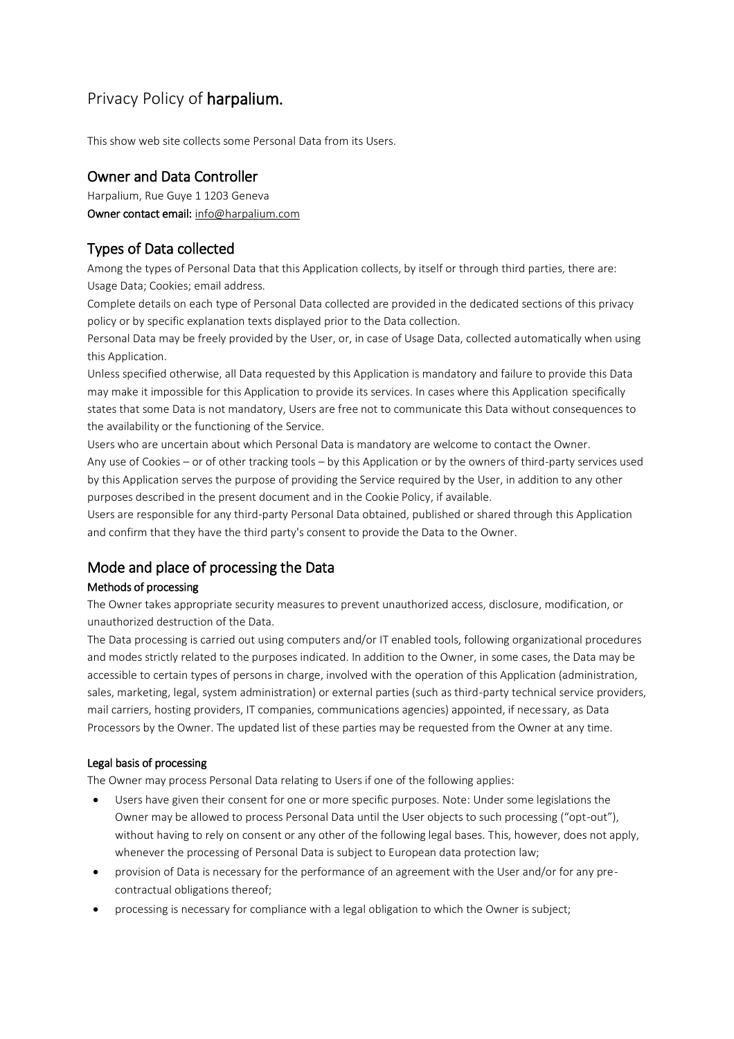# Privacy Policy of harpalium.

This show web site collects some Personal Data from its Users.

# Owner and Data Controller

Harpalium, Rue Guye 1 1203 Geneva Owner contact email: [info@harpalium.com](mailto:info@harpalium.com)

# Types of Data collected

Among the types of Personal Data that this Application collects, by itself or through third parties, there are: Usage Data; Cookies; email address.

Complete details on each type of Personal Data collected are provided in the dedicated sections of this privacy policy or by specific explanation texts displayed prior to the Data collection.

Personal Data may be freely provided by the User, or, in case of Usage Data, collected automatically when using this Application.

Unless specified otherwise, all Data requested by this Application is mandatory and failure to provide this Data may make it impossible for this Application to provide its services. In cases where this Application specifically states that some Data is not mandatory, Users are free not to communicate this Data without consequences to the availability or the functioning of the Service.

Users who are uncertain about which Personal Data is mandatory are welcome to contact the Owner. Any use of Cookies – or of other tracking tools – by this Application or by the owners of third-party services used by this Application serves the purpose of providing the Service required by the User, in addition to any other purposes described in the present document and in the Cookie Policy, if available.

Users are responsible for any third-party Personal Data obtained, published or shared through this Application and confirm that they have the third party's consent to provide the Data to the Owner.

# Mode and place of processing the Data

## Methods of processing

The Owner takes appropriate security measures to prevent unauthorized access, disclosure, modification, or unauthorized destruction of the Data.

The Data processing is carried out using computers and/or IT enabled tools, following organizational procedures and modes strictly related to the purposes indicated. In addition to the Owner, in some cases, the Data may be accessible to certain types of persons in charge, involved with the operation of this Application (administration, sales, marketing, legal, system administration) or external parties (such as third-party technical service providers, mail carriers, hosting providers, IT companies, communications agencies) appointed, if necessary, as Data Processors by the Owner. The updated list of these parties may be requested from the Owner at any time.

## Legal basis of processing

The Owner may process Personal Data relating to Users if one of the following applies:

- Users have given their consent for one or more specific purposes. Note: Under some legislations the Owner may be allowed to process Personal Data until the User objects to such processing ("opt-out"), without having to rely on consent or any other of the following legal bases. This, however, does not apply, whenever the processing of Personal Data is subject to European data protection law;
- provision of Data is necessary for the performance of an agreement with the User and/or for any precontractual obligations thereof;
- processing is necessary for compliance with a legal obligation to which the Owner is subject;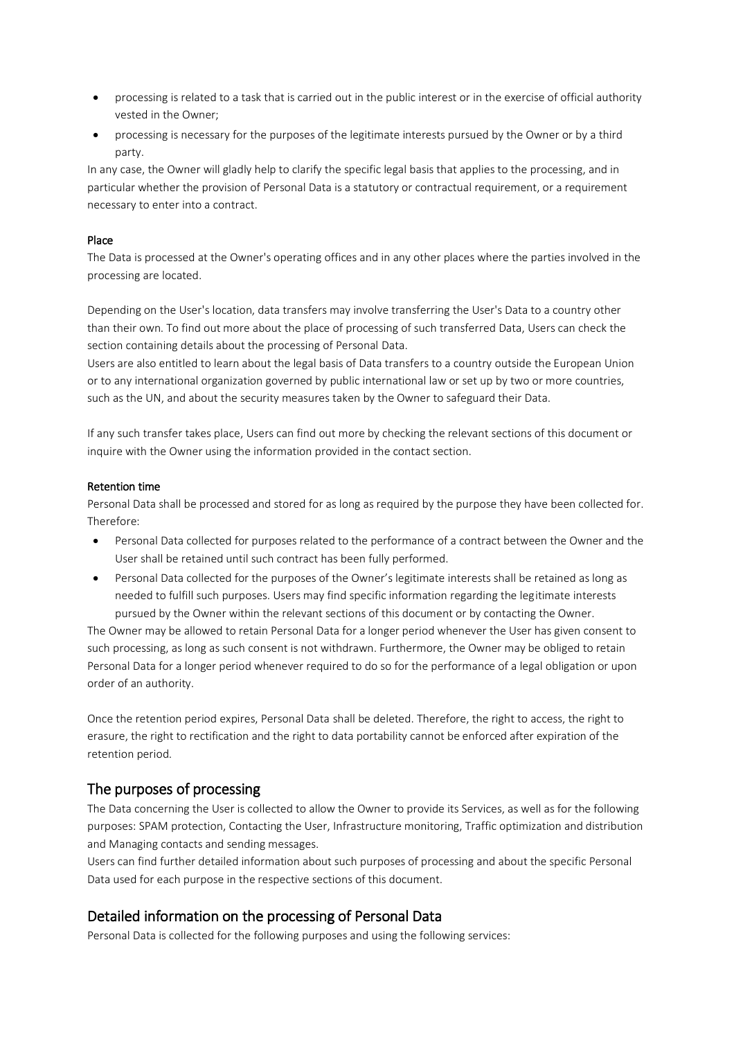- processing is related to a task that is carried out in the public interest or in the exercise of official authority vested in the Owner;
- processing is necessary for the purposes of the legitimate interests pursued by the Owner or by a third party.

In any case, the Owner will gladly help to clarify the specific legal basis that applies to the processing, and in particular whether the provision of Personal Data is a statutory or contractual requirement, or a requirement necessary to enter into a contract.

## Place

The Data is processed at the Owner's operating offices and in any other places where the parties involved in the processing are located.

Depending on the User's location, data transfers may involve transferring the User's Data to a country other than their own. To find out more about the place of processing of such transferred Data, Users can check the section containing details about the processing of Personal Data.

Users are also entitled to learn about the legal basis of Data transfers to a country outside the European Union or to any international organization governed by public international law or set up by two or more countries, such as the UN, and about the security measures taken by the Owner to safeguard their Data.

If any such transfer takes place, Users can find out more by checking the relevant sections of this document or inquire with the Owner using the information provided in the contact section.

## Retention time

Personal Data shall be processed and stored for as long as required by the purpose they have been collected for. Therefore:

- Personal Data collected for purposes related to the performance of a contract between the Owner and the User shall be retained until such contract has been fully performed.
- Personal Data collected for the purposes of the Owner's legitimate interests shall be retained as long as needed to fulfill such purposes. Users may find specific information regarding the legitimate interests pursued by the Owner within the relevant sections of this document or by contacting the Owner.

The Owner may be allowed to retain Personal Data for a longer period whenever the User has given consent to such processing, as long as such consent is not withdrawn. Furthermore, the Owner may be obliged to retain Personal Data for a longer period whenever required to do so for the performance of a legal obligation or upon order of an authority.

Once the retention period expires, Personal Data shall be deleted. Therefore, the right to access, the right to erasure, the right to rectification and the right to data portability cannot be enforced after expiration of the retention period.

# The purposes of processing

The Data concerning the User is collected to allow the Owner to provide its Services, as well as for the following purposes: SPAM protection, Contacting the User, Infrastructure monitoring, Traffic optimization and distribution and Managing contacts and sending messages.

Users can find further detailed information about such purposes of processing and about the specific Personal Data used for each purpose in the respective sections of this document.

# Detailed information on the processing of Personal Data

Personal Data is collected for the following purposes and using the following services: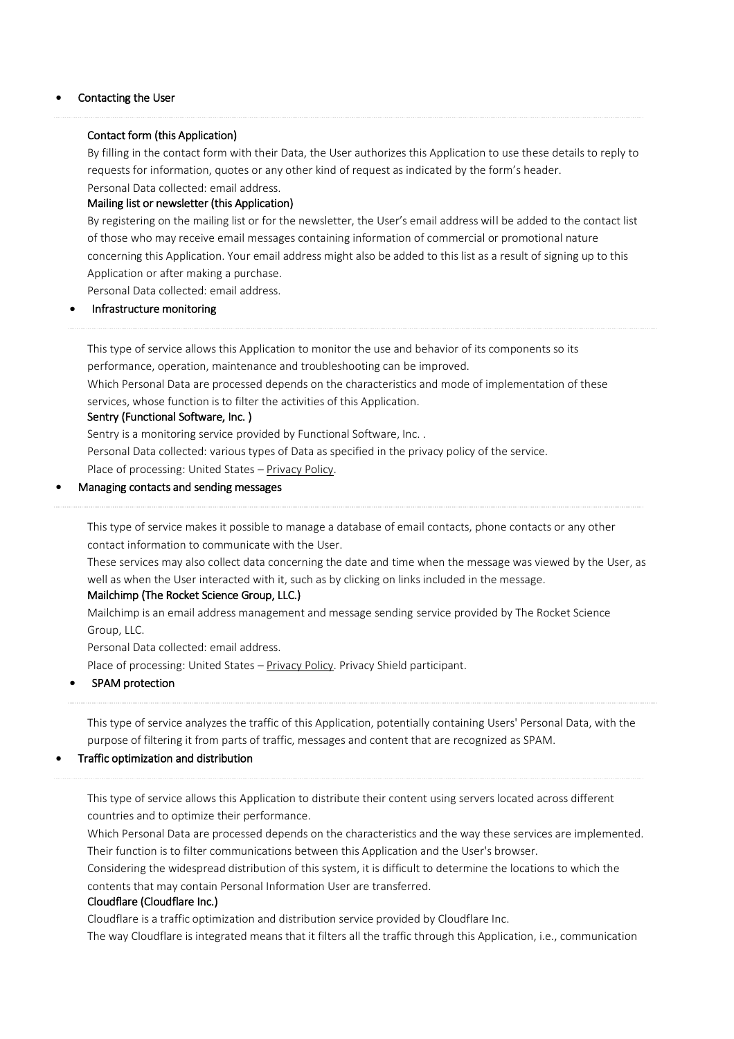#### • Contacting the User

#### Contact form (this Application)

By filling in the contact form with their Data, the User authorizes this Application to use these details to reply to requests for information, quotes or any other kind of request as indicated by the form's header. Personal Data collected: email address.

### Mailing list or newsletter (this Application)

By registering on the mailing list or for the newsletter, the User's email address will be added to the contact list of those who may receive email messages containing information of commercial or promotional nature concerning this Application. Your email address might also be added to this list as a result of signing up to this Application or after making a purchase.

Personal Data collected: email address.

### • Infrastructure monitoring

This type of service allows this Application to monitor the use and behavior of its components so its performance, operation, maintenance and troubleshooting can be improved.

Which Personal Data are processed depends on the characteristics and mode of implementation of these services, whose function is to filter the activities of this Application.

#### Sentry (Functional Software, Inc. )

Sentry is a monitoring service provided by Functional Software, Inc. .

Personal Data collected: various types of Data as specified in the privacy policy of the service.

Place of processing: United States – [Privacy](https://sentry.io/privacy/) Policy.

### • Managing contacts and sending messages

This type of service makes it possible to manage a database of email contacts, phone contacts or any other contact information to communicate with the User.

These services may also collect data concerning the date and time when the message was viewed by the User, as well as when the User interacted with it, such as by clicking on links included in the message.

#### Mailchimp (The Rocket Science Group, LLC.)

Mailchimp is an email address management and message sending service provided by The Rocket Science Group, LLC.

Personal Data collected: email address.

Place of processing: United States - [Privacy](https://mailchimp.com/legal/privacy/) Policy. Privacy Shield participant.

### • SPAM protection

This type of service analyzes the traffic of this Application, potentially containing Users' Personal Data, with the purpose of filtering it from parts of traffic, messages and content that are recognized as SPAM.

### • Traffic optimization and distribution

This type of service allows this Application to distribute their content using servers located across different countries and to optimize their performance.

Which Personal Data are processed depends on the characteristics and the way these services are implemented. Their function is to filter communications between this Application and the User's browser.

Considering the widespread distribution of this system, it is difficult to determine the locations to which the contents that may contain Personal Information User are transferred.

### Cloudflare (Cloudflare Inc.)

Cloudflare is a traffic optimization and distribution service provided by Cloudflare Inc.

The way Cloudflare is integrated means that it filters all the traffic through this Application, i.e., communication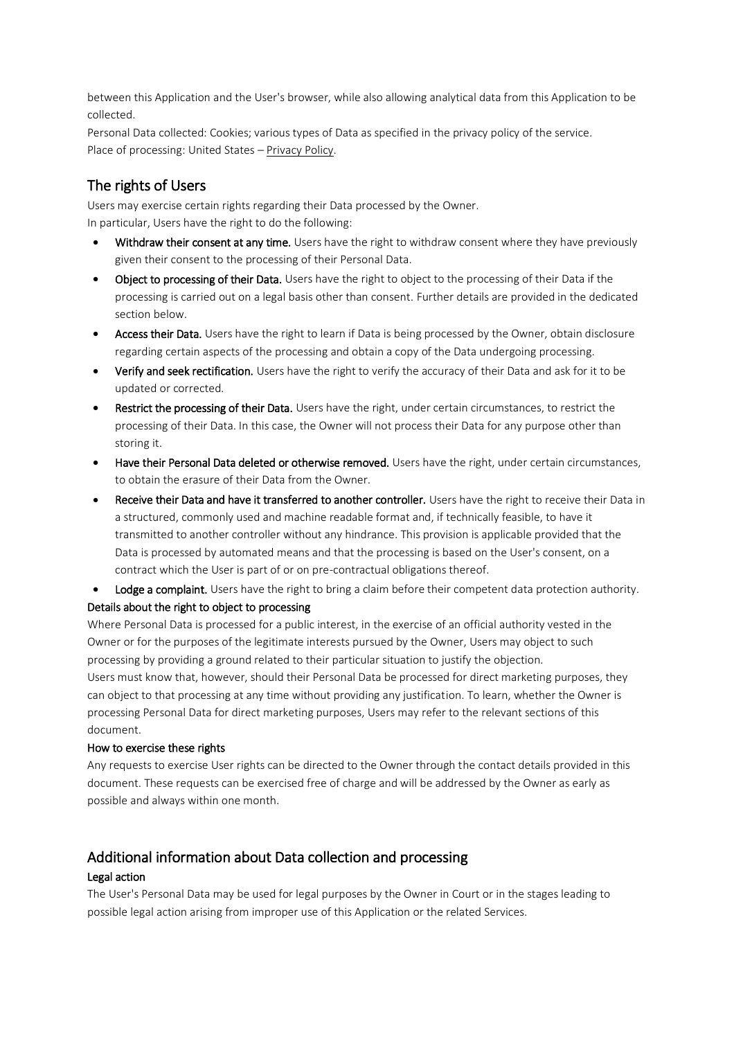between this Application and the User's browser, while also allowing analytical data from this Application to be collected.

Personal Data collected: Cookies; various types of Data as specified in the privacy policy of the service. Place of processing: United States – [Privacy](https://www.cloudflare.com/security-policy/) Policy.

# The rights of Users

Users may exercise certain rights regarding their Data processed by the Owner. In particular, Users have the right to do the following:

- Withdraw their consent at any time. Users have the right to withdraw consent where they have previously given their consent to the processing of their Personal Data.
- Object to processing of their Data. Users have the right to object to the processing of their Data if the processing is carried out on a legal basis other than consent. Further details are provided in the dedicated section below.
- Access their Data. Users have the right to learn if Data is being processed by the Owner, obtain disclosure regarding certain aspects of the processing and obtain a copy of the Data undergoing processing.
- Verify and seek rectification. Users have the right to verify the accuracy of their Data and ask for it to be updated or corrected.
- Restrict the processing of their Data. Users have the right, under certain circumstances, to restrict the processing of their Data. In this case, the Owner will not process their Data for any purpose other than storing it.
- Have their Personal Data deleted or otherwise removed. Users have the right, under certain circumstances, to obtain the erasure of their Data from the Owner.
- Receive their Data and have it transferred to another controller. Users have the right to receive their Data in a structured, commonly used and machine readable format and, if technically feasible, to have it transmitted to another controller without any hindrance. This provision is applicable provided that the Data is processed by automated means and that the processing is based on the User's consent, on a contract which the User is part of or on pre-contractual obligations thereof.
- Lodge a complaint. Users have the right to bring a claim before their competent data protection authority. Details about the right to object to processing

Where Personal Data is processed for a public interest, in the exercise of an official authority vested in the Owner or for the purposes of the legitimate interests pursued by the Owner, Users may object to such processing by providing a ground related to their particular situation to justify the objection. Users must know that, however, should their Personal Data be processed for direct marketing purposes, they

can object to that processing at any time without providing any justification. To learn, whether the Owner is processing Personal Data for direct marketing purposes, Users may refer to the relevant sections of this document.

### How to exercise these rights

Any requests to exercise User rights can be directed to the Owner through the contact details provided in this document. These requests can be exercised free of charge and will be addressed by the Owner as early as possible and always within one month.

# Additional information about Data collection and processing

## Legal action

The User's Personal Data may be used for legal purposes by the Owner in Court or in the stages leading to possible legal action arising from improper use of this Application or the related Services.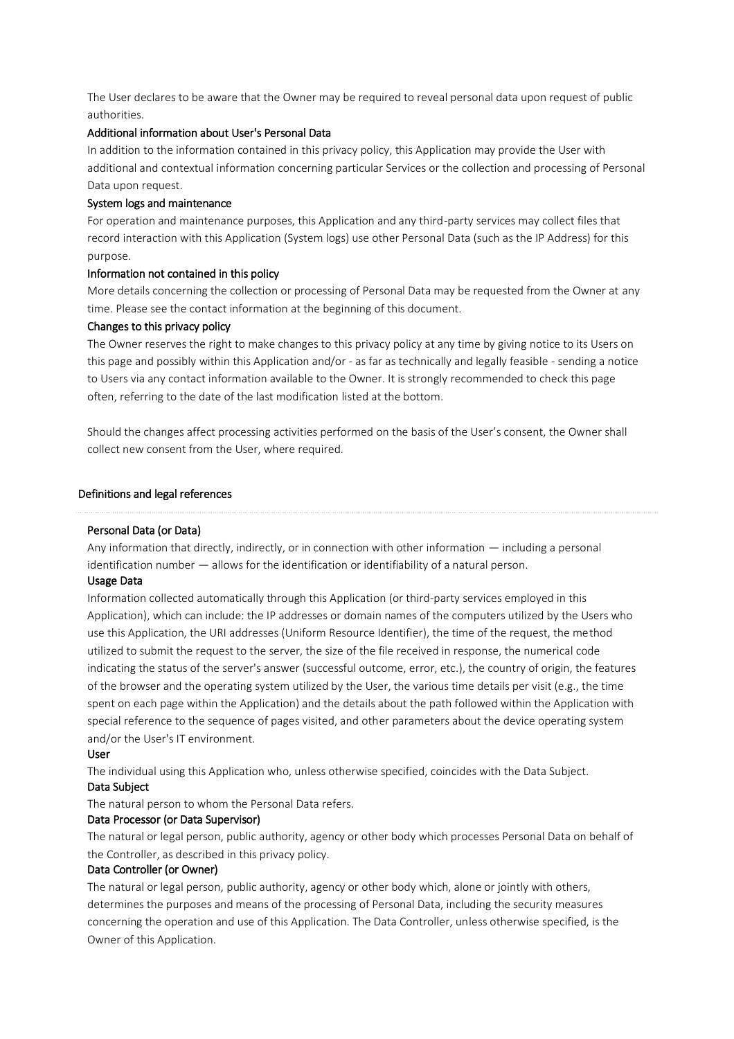The User declares to be aware that the Owner may be required to reveal personal data upon request of public authorities.

### Additional information about User's Personal Data

In addition to the information contained in this privacy policy, this Application may provide the User with additional and contextual information concerning particular Services or the collection and processing of Personal Data upon request.

#### System logs and maintenance

For operation and maintenance purposes, this Application and any third-party services may collect files that record interaction with this Application (System logs) use other Personal Data (such as the IP Address) for this purpose.

#### Information not contained in this policy

More details concerning the collection or processing of Personal Data may be requested from the Owner at any time. Please see the contact information at the beginning of this document.

#### Changes to this privacy policy

The Owner reserves the right to make changes to this privacy policy at any time by giving notice to its Users on this page and possibly within this Application and/or - as far as technically and legally feasible - sending a notice to Users via any contact information available to the Owner. It is strongly recommended to check this page often, referring to the date of the last modification listed at the bottom.

Should the changes affect processing activities performed on the basis of the User's consent, the Owner shall collect new consent from the User, where required.

#### Definitions and legal references

#### Personal Data (or Data)

Any information that directly, indirectly, or in connection with other information — including a personal identification number — allows for the identification or identifiability of a natural person.

#### Usage Data

Information collected automatically through this Application (or third-party services employed in this Application), which can include: the IP addresses or domain names of the computers utilized by the Users who use this Application, the URI addresses (Uniform Resource Identifier), the time of the request, the method utilized to submit the request to the server, the size of the file received in response, the numerical code indicating the status of the server's answer (successful outcome, error, etc.), the country of origin, the features of the browser and the operating system utilized by the User, the various time details per visit (e.g., the time spent on each page within the Application) and the details about the path followed within the Application with special reference to the sequence of pages visited, and other parameters about the device operating system and/or the User's IT environment.

#### User

The individual using this Application who, unless otherwise specified, coincides with the Data Subject.

## Data Subject

The natural person to whom the Personal Data refers.

### Data Processor (or Data Supervisor)

The natural or legal person, public authority, agency or other body which processes Personal Data on behalf of the Controller, as described in this privacy policy.

### Data Controller (or Owner)

The natural or legal person, public authority, agency or other body which, alone or jointly with others, determines the purposes and means of the processing of Personal Data, including the security measures concerning the operation and use of this Application. The Data Controller, unless otherwise specified, is the Owner of this Application.